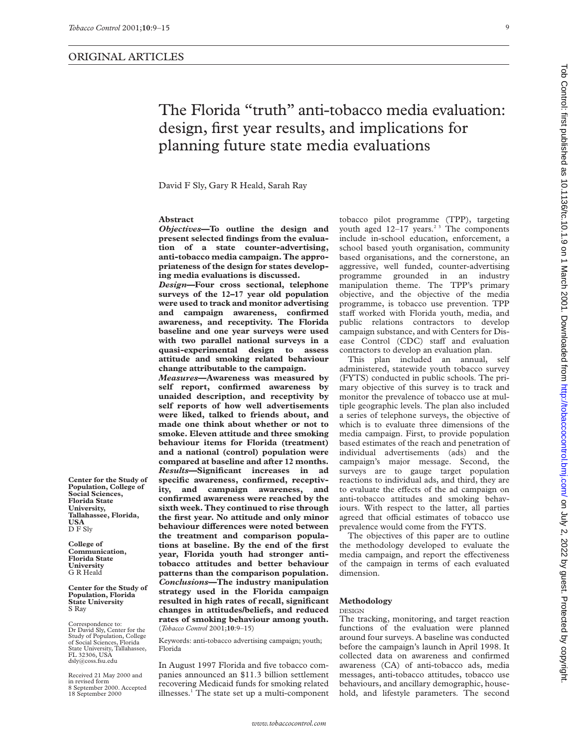# The Florida "truth" anti-tobacco media evaluation: design, first year results, and implications for planning future state media evaluations

David F Sly, Gary R Heald, Sarah Ray

## **Abstract**

*Objectives***—To outline the design and present selected findings from the evaluation of a state counter-advertising, anti-tobacco media campaign. The appropriateness of the design for states developing media evaluations is discussed.**

*Design***—Four cross sectional, telephone surveys of the 12–17 year old population were used to track and monitor advertising and campaign awareness, confirmed awareness, and receptivity. The Florida baseline and one year surveys were used with two parallel national surveys in a quasi-experimental design to assess attitude and smoking related behaviour change attributable to the campaign.**

*Measures***—Awareness was measured by self report, confirmed awareness by unaided description, and receptivity by self reports of how well advertisements were liked, talked to friends about, and made one think about whether or not to smoke. Eleven attitude and three smoking behaviour items for Florida (treatment) and a national (control) population were compared at baseline and after 12 months.** *Results***—Significant increases in ad specific awareness, confirmed, receptivity, and campaign awareness, and confirmed awareness were reached by the sixth week. They continued to rise through the first year. No attitude and only minor behaviour differences were noted between the treatment and comparison populations at baseline. By the end of the first year, Florida youth had stronger antitobacco attitudes and better behaviour patterns than the comparison population.** *Conclusions***—The industry manipulation strategy used in the Florida campaign resulted in high rates of recall, significant changes in attitudes/beliefs, and reduced rates of smoking behaviour among youth.** (*Tobacco Control* 2001;**10**:9–15)

Keywords: anti-tobacco advertising campaign; youth; Florida

In August 1997 Florida and five tobacco companies announced an \$11.3 billion settlement recovering Medicaid funds for smoking related illnesses.<sup>1</sup> The state set up a multi-component

tobacco pilot programme (TPP), targeting youth aged  $12-17$  years.<sup>23</sup> The components include in-school education, enforcement, a school based youth organisation, community based organisations, and the cornerstone, an aggressive, well funded, counter-advertising programme grounded in an industry manipulation theme. The TPP's primary objective, and the objective of the media programme, is tobacco use prevention. TPP staff worked with Florida youth, media, and public relations contractors to develop campaign substance, and with Centers for Disease Control (CDC) staff and evaluation contractors to develop an evaluation plan.

This plan included an annual, self administered, statewide youth tobacco survey (FYTS) conducted in public schools. The primary objective of this survey is to track and monitor the prevalence of tobacco use at multiple geographic levels. The plan also included a series of telephone surveys, the objective of which is to evaluate three dimensions of the media campaign. First, to provide population based estimates of the reach and penetration of individual advertisements (ads) and the campaign's major message. Second, the surveys are to gauge target population reactions to individual ads, and third, they are to evaluate the effects of the ad campaign on anti-tobacco attitudes and smoking behaviours. With respect to the latter, all parties agreed that official estimates of tobacco use prevalence would come from the FYTS.

The objectives of this paper are to outline the methodology developed to evaluate the media campaign, and report the effectiveness of the campaign in terms of each evaluated dimension.

## **Methodology**

DESIGN

The tracking, monitoring, and target reaction functions of the evaluation were planned around four surveys. A baseline was conducted before the campaign's launch in April 1998. It collected data on awareness and confirmed awareness (CA) of anti-tobacco ads, media messages, anti-tobacco attitudes, tobacco use behaviours, and ancillary demographic, household, and lifestyle parameters. The second

**Social Sciences, Florida State University, Tallahassee, Florida, USA** D F Sly **College of**

**Center for the Study of Population, College of**

**Communication, Florida State University** G R Heald

**Center for the Study of Population, Florida State University** S Ray

Correspondence to: Dr David Sly, Center for the Study of Population, College of Social Sciences, Florida State University, Tallahassee, FL 32306, USA dsly@coss.fsu.edu

Received 21 May 2000 and in revised form 8 September 2000. Accepted 18 September 2000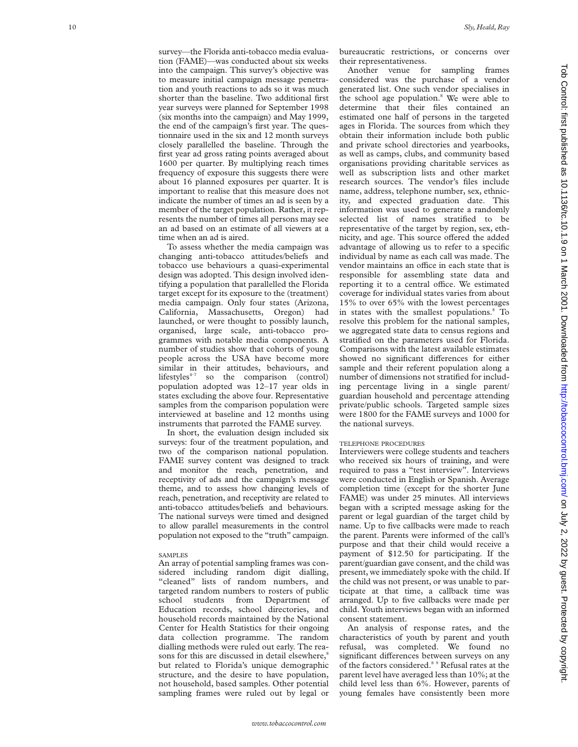survey—the Florida anti-tobacco media evaluation (FAME)—was conducted about six weeks into the campaign. This survey's objective was to measure initial campaign message penetration and youth reactions to ads so it was much shorter than the baseline. Two additional first year surveys were planned for September 1998 (six months into the campaign) and May 1999, the end of the campaign's first year. The questionnaire used in the six and 12 month surveys closely parallelled the baseline. Through the first year ad gross rating points averaged about 1600 per quarter. By multiplying reach times frequency of exposure this suggests there were about 16 planned exposures per quarter. It is important to realise that this measure does not indicate the number of times an ad is seen by a member of the target population. Rather, it represents the number of times all persons may see an ad based on an estimate of all viewers at a time when an ad is aired.

To assess whether the media campaign was changing anti-tobacco attitudes/beliefs and tobacco use behaviours a quasi-experimental design was adopted. This design involved identifying a population that parallelled the Florida target except for its exposure to the (treatment) media campaign. Only four states (Arizona, California, Massachusetts, Oregon) had launched, or were thought to possibly launch, organised, large scale, anti-tobacco programmes with notable media components. A number of studies show that cohorts of young people across the USA have become more similar in their attitudes, behaviours, and lifestyles<sup> $+7$ </sup> so the comparison (control) so the comparison (control) population adopted was 12–17 year olds in states excluding the above four. Representative samples from the comparison population were interviewed at baseline and 12 months using instruments that parroted the FAME survey.

In short, the evaluation design included six surveys: four of the treatment population, and two of the comparison national population. FAME survey content was designed to track and monitor the reach, penetration, and receptivity of ads and the campaign's message theme, and to assess how changing levels of reach, penetration, and receptivity are related to anti-tobacco attitudes/beliefs and behaviours. The national surveys were timed and designed to allow parallel measurements in the control population not exposed to the "truth" campaign.

#### SAMPLES

An array of potential sampling frames was considered including random digit dialling, "cleaned" lists of random numbers, and targeted random numbers to rosters of public school students from Department of Education records, school directories, and household records maintained by the National Center for Health Statistics for their ongoing data collection programme. The random dialling methods were ruled out early. The reasons for this are discussed in detail elsewhere,<sup>8</sup> but related to Florida's unique demographic structure, and the desire to have population, not household, based samples. Other potential sampling frames were ruled out by legal or

bureaucratic restrictions, or concerns over their representativeness.

Another venue for sampling frames considered was the purchase of a vendor generated list. One such vendor specialises in the school age population. <sup>8</sup> We were able to determine that their files contained an estimated one half of persons in the targeted ages in Florida. The sources from which they obtain their information include both public and private school directories and yearbooks, as well as camps, clubs, and community based organisations providing charitable services as well as subscription lists and other market research sources. The vendor's files include name, address, telephone number, sex, ethnicity, and expected graduation date. This information was used to generate a randomly selected list of names stratified to be representative of the target by region, sex, ethnicity, and age. This source offered the added advantage of allowing us to refer to a specific individual by name as each call was made. The vendor maintains an office in each state that is responsible for assembling state data and reporting it to a central office. We estimated coverage for individual states varies from about 15% to over 65% with the lowest percentages in states with the smallest populations. <sup>8</sup> To resolve this problem for the national samples, we aggregated state data to census regions and stratified on the parameters used for Florida. Comparisons with the latest available estimates showed no significant differences for either sample and their referent population along a number of dimensions not stratified for including percentage living in a single parent/ guardian household and percentage attending private/public schools. Targeted sample sizes were 1800 for the FAME surveys and 1000 for the national surveys.

#### TELEPHONE PROCEDURES

Interviewers were college students and teachers who received six hours of training, and were required to pass a "test interview". Interviews were conducted in English or Spanish. Average completion time (except for the shorter June FAME) was under 25 minutes. All interviews began with a scripted message asking for the parent or legal guardian of the target child by name. Up to five callbacks were made to reach the parent. Parents were informed of the call's purpose and that their child would receive a payment of \$12.50 for participating. If the parent/guardian gave consent, and the child was present, we immediately spoke with the child. If the child was not present, or was unable to participate at that time, a callback time was arranged. Up to five callbacks were made per child. Youth interviews began with an informed consent statement.

An analysis of response rates, and the characteristics of youth by parent and youth refusal, was completed. We found no significant differences between surveys on any of the factors considered.<sup>8</sup> <sup>9</sup> Refusal rates at the parent level have averaged less than 10%; at the child level less than 6%. However, parents of young females have consistently been more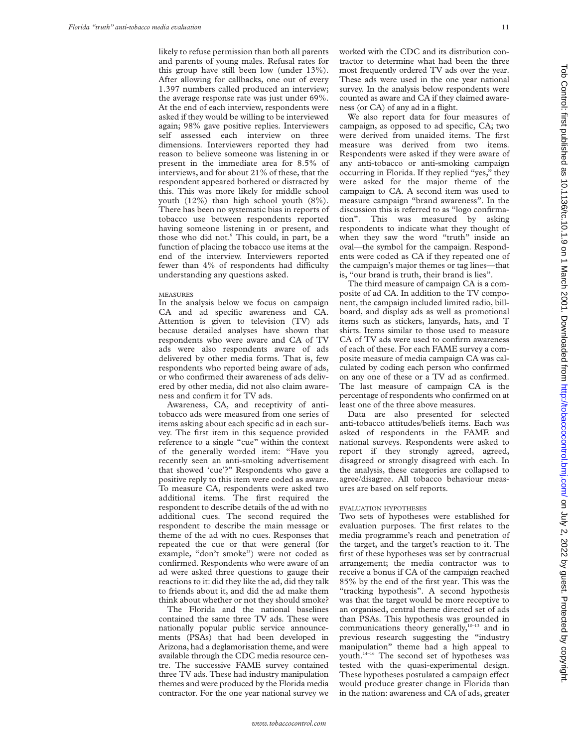likely to refuse permission than both all parents and parents of young males. Refusal rates for this group have still been low (under 13%). After allowing for callbacks, one out of every 1.397 numbers called produced an interview; the average response rate was just under 69%. At the end of each interview, respondents were asked if they would be willing to be interviewed again; 98% gave positive replies. Interviewers self assessed each interview on three dimensions. Interviewers reported they had reason to believe someone was listening in or present in the immediate area for 8.5% of interviews, and for about 21% of these, that the respondent appeared bothered or distracted by this. This was more likely for middle school youth (12%) than high school youth (8%). There has been no systematic bias in reports of tobacco use between respondents reported having someone listening in or present, and those who did not.<sup>9</sup> This could, in part, be a function of placing the tobacco use items at the end of the interview. Interviewers reported fewer than  $4\%$  of respondents had difficulty understanding any questions asked.

#### **MEASURES**

In the analysis below we focus on campaign CA and ad specific awareness and CA. Attention is given to television (TV) ads because detailed analyses have shown that respondents who were aware and CA of TV ads were also respondents aware of ads delivered by other media forms. That is, few respondents who reported being aware of ads, or who confirmed their awareness of ads delivered by other media, did not also claim awareness and confirm it for TV ads.

Awareness, CA, and receptivity of antitobacco ads were measured from one series of items asking about each specific ad in each survey. The first item in this sequence provided reference to a single "cue" within the context of the generally worded item: "Have you recently seen an anti-smoking advertisement that showed 'cue'?" Respondents who gave a positive reply to this item were coded as aware. To measure CA, respondents were asked two additional items. The first required the respondent to describe details of the ad with no additional cues. The second required the respondent to describe the main message or theme of the ad with no cues. Responses that repeated the cue or that were general (for example, "don't smoke") were not coded as confirmed. Respondents who were aware of an ad were asked three questions to gauge their reactions to it: did they like the ad, did they talk to friends about it, and did the ad make them think about whether or not they should smoke?

The Florida and the national baselines contained the same three TV ads. These were nationally popular public service announcements (PSAs) that had been developed in Arizona, had a deglamorisation theme, and were available through the CDC media resource centre. The successive FAME survey contained three TV ads. These had industry manipulation themes and were produced by the Florida media contractor. For the one year national survey we worked with the CDC and its distribution contractor to determine what had been the three most frequently ordered TV ads over the year. These ads were used in the one year national survey. In the analysis below respondents were counted as aware and CA if they claimed awareness (or CA) of any ad in a flight.

We also report data for four measures of campaign, as opposed to ad specific, CA; two were derived from unaided items. The first measure was derived from two items. Respondents were asked if they were aware of any anti-tobacco or anti-smoking campaign occurring in Florida. If they replied "yes," they were asked for the major theme of the campaign to CA. A second item was used to measure campaign "brand awareness". In the discussion this is referred to as "logo confirmation". This was measured by asking respondents to indicate what they thought of when they saw the word "truth" inside an oval—the symbol for the campaign. Respondents were coded as CA if they repeated one of the campaign's major themes or tag lines—that is, "our brand is truth, their brand is lies".

The third measure of campaign CA is a composite of ad CA. In addition to the TV component, the campaign included limited radio, billboard, and display ads as well as promotional items such as stickers, lanyards, hats, and T shirts. Items similar to those used to measure CA of TV ads were used to confirm awareness of each of these. For each FAME survey a composite measure of media campaign CA was calculated by coding each person who confirmed on any one of these or a TV ad as confirmed. The last measure of campaign CA is the percentage of respondents who confirmed on at least one of the three above measures.

Data are also presented for selected anti-tobacco attitudes/beliefs items. Each was asked of respondents in the FAME and national surveys. Respondents were asked to report if they strongly agreed, agreed, disagreed or strongly disagreed with each. In the analysis, these categories are collapsed to agree/disagree. All tobacco behaviour measures are based on self reports.

## EVALUATION HYPOTHESES

Two sets of hypotheses were established for evaluation purposes. The first relates to the media programme's reach and penetration of the target, and the target's reaction to it. The first of these hypotheses was set by contractual arrangement; the media contractor was to receive a bonus if CA of the campaign reached 85% by the end of the first year. This was the "tracking hypothesis". A second hypothesis was that the target would be more receptive to an organised, central theme directed set of ads than PSAs. This hypothesis was grounded in communications theory generally,<sup>10-13</sup> and in previous research suggesting the "industry manipulation" theme had a high appeal to youth.14–16 The second set of hypotheses was tested with the quasi-experimental design. These hypotheses postulated a campaign effect would produce greater change in Florida than in the nation: awareness and CA of ads, greater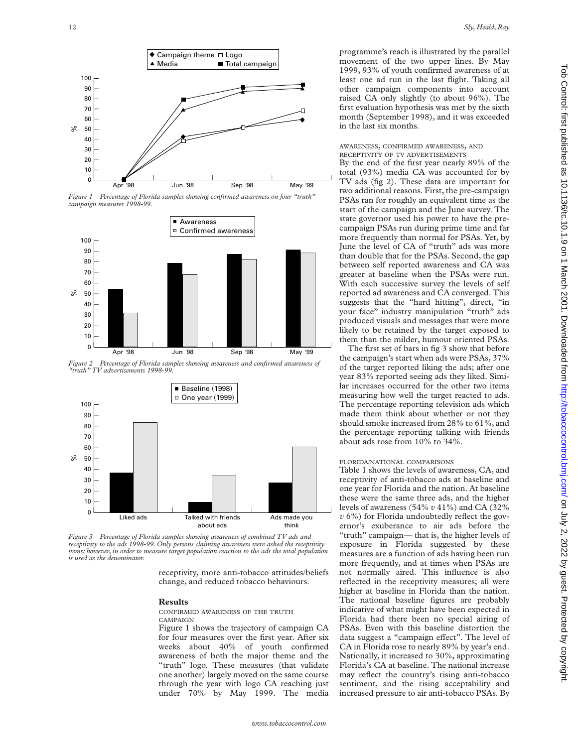

*Figure 1 Percentage of Florida samples showing confirmed awareness on four "truth" campaign measures 1998-99.*



*Figure 2 Percentage of Florida samples showing awareness and confirmed awareness of "truth" TV advertisements 1998-99.*



*Figure 3 Percentage of Florida samples showing awareness of combined TV ads and receptivity to the ads 1998-99. Only persons claiming awareness were asked the receptivity items; however, in order to measure target population reaction to the ads the total population is used as the denominator.*

receptivity, more anti-tobacco attitudes/beliefs change, and reduced tobacco behaviours.

## **Results**

CONFIRMED AWARENESS OF THE TRUTH CAMPAIGN

Figure 1 shows the trajectory of campaign CA for four measures over the first year. After six weeks about 40% of youth confirmed awareness of both the major theme and the "truth" logo. These measures (that validate one another) largely moved on the same course through the year with logo CA reaching just under 70% by May 1999. The media programme's reach is illustrated by the parallel movement of the two upper lines. By May 1999, 93% of youth confirmed awareness of at least one ad run in the last flight. Taking all other campaign components into account raised CA only slightly (to about 96%). The first evaluation hypothesis was met by the sixth month (September 1998), and it was exceeded in the last six months.

# AWARENESS, CONFIRMED AWARENESS, AND RECEPTIVITY OF TV ADVERTISEMENTS

By the end of the first year nearly 89% of the total (93%) media CA was accounted for by TV ads (fig 2). These data are important for two additional reasons. First, the pre-campaign PSAs ran for roughly an equivalent time as the start of the campaign and the June survey. The state governor used his power to have the precampaign PSAs run during prime time and far more frequently than normal for PSAs. Yet, by June the level of CA of "truth" ads was more than double that for the PSAs. Second, the gap between self reported awareness and CA was greater at baseline when the PSAs were run. With each successive survey the levels of self reported ad awareness and CA converged. This suggests that the "hard hitting", direct, "in your face" industry manipulation "truth" ads produced visuals and messages that were more likely to be retained by the target exposed to them than the milder, humour oriented PSAs.

The first set of bars in fig 3 show that before the campaign's start when ads were PSAs, 37% of the target reported liking the ads; after one year 83% reported seeing ads they liked. Similar increases occurred for the other two items measuring how well the target reacted to ads. The percentage reporting television ads which made them think about whether or not they should smoke increased from 28% to 61%, and the percentage reporting talking with friends about ads rose from 10% to 34%.

# FLORIDA/NATIONAL COMPARISONS

Table 1 shows the levels of awareness, CA, and receptivity of anti-tobacco ads at baseline and one year for Florida and the nation. At baseline these were the same three ads, and the higher levels of awareness (54% *v* 41%) and CA (32% *v* 6%) for Florida undoubtedly reflect the governor's exuberance to air ads before the "truth" campaign— that is, the higher levels of exposure in Florida suggested by these measures are a function of ads having been run more frequently, and at times when PSAs are not normally aired. This influence is also reflected in the receptivity measures; all were higher at baseline in Florida than the nation. The national baseline figures are probably indicative of what might have been expected in Florida had there been no special airing of PSAs. Even with this baseline distortion the data suggest a "campaign effect". The level of CA in Florida rose to nearly 89% by year's end. Nationally, it increased to 30%, approximating Florida's CA at baseline. The national increase may reflect the country's rising anti-tobacco sentiment, and the rising acceptability and increased pressure to air anti-tobacco PSAs. By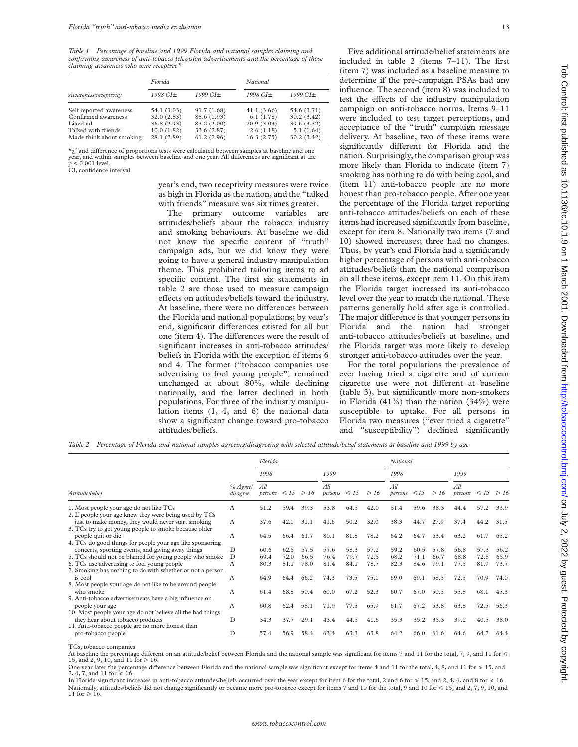*Table 1 Percentage of baseline and 1999 Florida and national samples claiming and confirming awareness of anti-tobacco television advertisements and the percentage of those claiming awareness who were receptive\**

|                          | Florida     |             | National   |             |  |  |  |
|--------------------------|-------------|-------------|------------|-------------|--|--|--|
| Awareness/receptivity    | 1998 CI+    | 1999 CI+    | 1998 CI±   | 1999 CI+    |  |  |  |
| Self reported awareness  | 54.1 (3.03) | 91.7(1.68)  | 41.1(3.66) | 54.6 (3.71) |  |  |  |
| Confirmed awareness      | 32.0(2.83)  | 88.6 (1.93) | 6.1(1.78)  | 30.2(3.42)  |  |  |  |
| Liked ad                 | 36.8(2.93)  | 83.2 (2.00) | 20.9(3.03) | 39.6 (3.32) |  |  |  |
| Talked with friends      | 10.0(1.82)  | 33.6 (2.87) | 2.6(1.18)  | 5.1(1.64)   |  |  |  |
| Made think about smoking | 28.1 (2.89) | 61.2(2.96)  | 16.3(2.75) | 30.2 (3.42) |  |  |  |

 $\star_{\gamma^2}$  and difference of proportions tests were calculated between samples at baseline and one year, and within samples between baseline and one year. All differences are significant at the  $p < 0.001$  level.

CI, confidence interval.

year's end, two receptivity measures were twice as high in Florida as the nation, and the "talked with friends" measure was six times greater.

The primary outcome variables are attitudes/beliefs about the tobacco industry and smoking behaviours. At baseline we did not know the specific content of "truth" campaign ads, but we did know they were going to have a general industry manipulation theme. This prohibited tailoring items to ad specific content. The first six statements in table 2 are those used to measure campaign effects on attitudes/beliefs toward the industry. At baseline, there were no differences between the Florida and national populations; by year's end, significant differences existed for all but one (item 4). The differences were the result of significant increases in anti-tobacco attitudes/ beliefs in Florida with the exception of items 6 and 4. The former ("tobacco companies use advertising to fool young people") remained unchanged at about 80%, while declining nationally, and the latter declined in both populations. For three of the industry manipulation items (1, 4, and 6) the national data show a significant change toward pro-tobacco attitudes/beliefs.

influence. The second (item 8) was included to test the effects of the industry manipulation campaign on anti-tobacco norms. Items 9–11 were included to test target perceptions, and acceptance of the "truth" campaign message delivery. At baseline, two of these items were significantly different for Florida and the nation. Surprisingly, the comparison group was more likely than Florida to indicate (item 7) smoking has nothing to do with being cool, and (item 11) anti-tobacco people are no more honest than pro-tobacco people. After one year the percentage of the Florida target reporting anti-tobacco attitudes/beliefs on each of these items had increased significantly from baseline, except for item 8. Nationally two items (7 and 10) showed increases; three had no changes. Thus, by year's end Florida had a significantly higher percentage of persons with anti-tobacco attitudes/beliefs than the national comparison on all these items, except item 11. On this item the Florida target increased its anti-tobacco level over the year to match the national. These patterns generally hold after age is controlled. The major difference is that younger persons in Florida and the nation had stronger anti-tobacco attitudes/beliefs at baseline, and the Florida target was more likely to develop stronger anti-tobacco attitudes over the year.

Five additional attitude/belief statements are included in table 2 (items 7–11). The first (item 7) was included as a baseline measure to determine if the pre-campaign PSAs had any

For the total populations the prevalence of ever having tried a cigarette and of current cigarette use were not different at baseline (table 3), but significantly more non-smokers in Florida  $(41\%)$  than the nation  $(34\%)$  were susceptible to uptake. For all persons in Florida two measures ("ever tried a cigarette" and "susceptibility") declined significantly

*Table 2 Percentage of Florida and national samples agreeing/disagreeing with selected attitude/belief statements at baseline and 1999 by age*

|                                                                                                                                                                                                                                                                                                                                                                                                                                                                                                               |                      | Florida        |              |              |                |              | National     |                                       |              |              |                                  |              |              |
|---------------------------------------------------------------------------------------------------------------------------------------------------------------------------------------------------------------------------------------------------------------------------------------------------------------------------------------------------------------------------------------------------------------------------------------------------------------------------------------------------------------|----------------------|----------------|--------------|--------------|----------------|--------------|--------------|---------------------------------------|--------------|--------------|----------------------------------|--------------|--------------|
|                                                                                                                                                                                                                                                                                                                                                                                                                                                                                                               |                      | 1998           |              | 1999         |                | 1998         |              | 1999                                  |              |              |                                  |              |              |
| Attitude/belief                                                                                                                                                                                                                                                                                                                                                                                                                                                                                               | % Agree/<br>disagree | All<br>persons | $\leq 15$    | $\geq 16$    | All<br>persons | $\leq 15$    | $\geq 16$    | $\overline{A}\overline{U}$<br>persons | $\leq 15$    | $\geq 16$    | All<br>persons $\leq 15 \geq 16$ |              |              |
| 1. Most people your age do not like TCs<br>2. If people your age knew they were being used by TCs                                                                                                                                                                                                                                                                                                                                                                                                             | А                    | 51.2           | 59.4         | 39.3         | 53.8           | 64.5         | 42.0         | 51.4                                  | 59.6         | 38.3         | 44.4                             | 57.2         | 33.9         |
| just to make money, they would never start smoking<br>3. TCs try to get young people to smoke because older<br>people quit or die                                                                                                                                                                                                                                                                                                                                                                             | A<br>А               | 37.6<br>64.5   | 42.1<br>66.4 | 31.1<br>61.7 | 41.6<br>80.1   | 50.2<br>81.8 | 32.0<br>78.2 | 38.3<br>64.2                          | 44.7<br>64.7 | 27.9<br>63.4 | 37.4<br>63.2                     | 44.2<br>61.7 | 31.5<br>65.2 |
| 4. TCs do good things for people your age like sponsoring<br>concerts, sporting events, and giving away things                                                                                                                                                                                                                                                                                                                                                                                                | D                    | 60.6           | 62.5         | 57.5         | 57.6           | 58.3         | 57.2         | 59.2                                  | 60.5         | 57.8         | 56.8                             | 57.3         | 56.2         |
| 5. TCs should not be blamed for young people who smoke<br>6. TCs use advertising to fool young people<br>7. Smoking has nothing to do with whether or not a person<br>is cool<br>8. Most people your age do not like to be around people<br>who smoke<br>9. Anti-tobacco advertisements have a big influence on<br>people your age<br>10. Most people your age do not believe all the bad things<br>they hear about tobacco products<br>11. Anti-tobacco people are no more honest than<br>pro-tobacco people | D<br>A               | 69.4<br>80.3   | 72.0<br>81.1 | 66.5<br>78.0 | 76.4<br>81.4   | 79.7<br>84.1 | 72.5<br>78.7 | 68.2<br>82.3                          | 71.1<br>84.6 | 66.7<br>79.1 | 68.8<br>77.5                     | 72.8<br>81.9 | 65.9<br>73.7 |
|                                                                                                                                                                                                                                                                                                                                                                                                                                                                                                               | А                    | 64.9           | 64.4         | 66.2         | 74.3           | 73.5         | 75.1         | 69.0                                  | 69.1         | 68.5         | 72.5                             | 70.9         | 74.0         |
|                                                                                                                                                                                                                                                                                                                                                                                                                                                                                                               | А                    | 61.4           | 68.8         | 50.4         | 60.0           | 67.2         | 52.3         | 60.7                                  | 67.0         | 50.5         | 55.8                             | 68.1         | 45.3         |
|                                                                                                                                                                                                                                                                                                                                                                                                                                                                                                               | A<br>D               | 60.8<br>34.3   | 62.4<br>37.7 | 58.1<br>29.1 | 71.9<br>43.4   | 77.5         | 65.9         | 61.7<br>35.3                          | 67.2<br>35.2 | 53.8<br>35.3 | 63.8<br>39.2                     | 72.5<br>40.5 | 56.3         |
|                                                                                                                                                                                                                                                                                                                                                                                                                                                                                                               | D                    | 57.4           | 56.9         | 58.4         | 63.4           | 44.5<br>63.3 | 41.6<br>63.8 | 64.2                                  | 66.0         | 61.6         | 64.6                             | 64.7         | 38.0<br>64.4 |
|                                                                                                                                                                                                                                                                                                                                                                                                                                                                                                               |                      |                |              |              |                |              |              |                                       |              |              |                                  |              |              |

TCs, tobacco companies

At baseline the percentage different on an attitude/belief between Florida and the national sample was significant for items 7 and 11 for the total, 7, 9, and 11 for  $\leq$  15, and 2, 9, 10, and 11 for  $\geq$  16. One year later the percentage difference between Florida and the national sample was significant except for items 4 and 11 for the total, 4, 8, and 11 for  $\leq 15$ , and

2, 4, 7, and 11 for  $\ge 16$ .

In Florida significant increases in anti-tobacco attitudes/beliefs occurred over the year except for item 6 for the total, 2 and 6 for  $\leq 15$ , and 2, 4, 6, and 8 for  $\geq 16$ . Nationally, attitudes/beliefs did not change significantly or became more pro-tobacco except for items 7 and 10 for the total, 9 and 10 for  $\leq 15$ , and 2, 7, 9, 10, and 11 for  $\geq 16$ .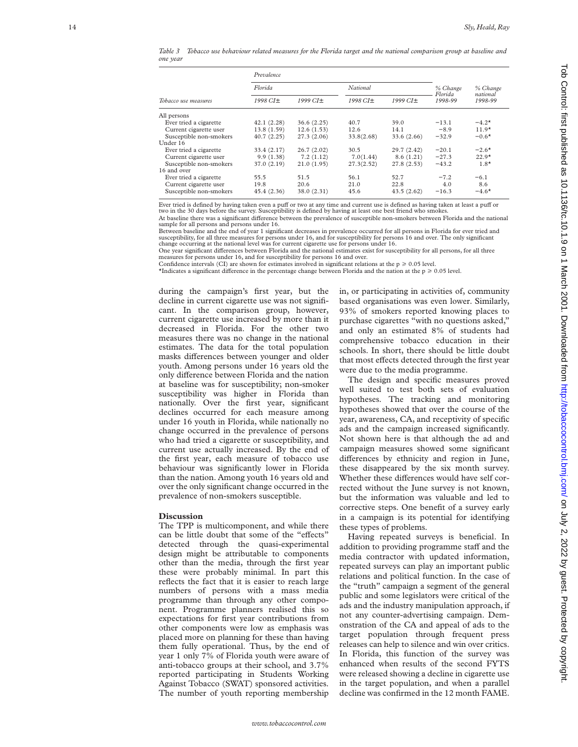*Table 3 Tobacco use behaviour related measures for the Florida target and the national comparison group at baseline and one year*

|                         | Prevalence  |            |            |             |                    |                     |  |
|-------------------------|-------------|------------|------------|-------------|--------------------|---------------------|--|
|                         | Florida     |            | National   |             | % Change           | % Change            |  |
| Tobacco use measures    | 1998 CI±    | 1999 CI±   | 1998 CI±   | 1999 CI±    | Florida<br>1998-99 | national<br>1998-99 |  |
| All persons             |             |            |            |             |                    |                     |  |
| Ever tried a cigarette  | 42.1(2.28)  | 36.6(2.25) | 40.7       | 39.0        | $-13.1$            | $-4.2*$             |  |
| Current cigarette user  | 13.8 (1.59) | 12.6(1.53) | 12.6       | 14.1        | $-8.9$             | $11.9*$             |  |
| Susceptible non-smokers | 40.7(2.25)  | 27.3(2.06) | 33.8(2.68) | 33.6 (2.66) | $-32.9$            | $-0.6*$             |  |
| Under 16                |             |            |            |             |                    |                     |  |
| Ever tried a cigarette  | 33.4 (2.17) | 26.7(2.02) | 30.5       | 29.7 (2.42) | $-20.1$            | $-2.6*$             |  |
| Current cigarette user  | 9.9(1.38)   | 7.2(1.12)  | 7.0(1.44)  | 8.6(1.21)   | $-27.3$            | $22.9*$             |  |
| Susceptible non-smokers | 37.0 (2.19) | 21.0(1.95) | 27.3(2.52) | 27.8(2.53)  | $-43.2$            | $1.8*$              |  |
| 16 and over             |             |            |            |             |                    |                     |  |
| Ever tried a cigarette  | 55.5        | 51.5       | 56.1       | 52.7        | $-7.2$             | $-6.1$              |  |
| Current cigarette user  | 19.8        | 20.6       | 21.0       | 22.8        | 4.0                | 8.6                 |  |
| Susceptible non-smokers | 45.4 (2.36) | 38.0(2.31) | 45.6       | 43.5(2.62)  | $-16.3$            | $-4.6*$             |  |

Ever tried is defined by having taken even a puff or two at any time and current use is defined as having taken at least a pu two in the 30 days before the survey. Susceptibility is defined by having at least one best friend who smokes

At baseline there was a significant difference between the prevalence of susceptible non-smokers between Florida and the national sample for all persons and persons under 16.

Between baseline and the end of year 1 significant decreases in prevalence occurred for all persons in Florida for ever tried and susceptibility, for all three measures for persons under 16, and for susceptibility for persons 16 and over. The only significant change occurring at the national level was for current cigarette use for persons under 16.

One year significant differences between Florida and the national estimates exist for susceptibility for all persons, for all three<br>measures for persons under 16, and for susceptibility for persons 16 and over.

Confidence intervals (CI) are shown for estimates involved in significant relations at the  $p \ge 0.05$  level.

 $*$ Indicates a significant difference in the percentage change between Florida and the nation at the  $p \ge 0.05$  level.

during the campaign's first year, but the decline in current cigarette use was not significant. In the comparison group, however, current cigarette use increased by more than it decreased in Florida. For the other two measures there was no change in the national estimates. The data for the total population masks differences between younger and older youth. Among persons under 16 years old the only difference between Florida and the nation at baseline was for susceptibility; non-smoker susceptibility was higher in Florida than nationally. Over the first year, significant declines occurred for each measure among under 16 youth in Florida, while nationally no change occurred in the prevalence of persons who had tried a cigarette or susceptibility, and current use actually increased. By the end of the first year, each measure of tobacco use behaviour was significantly lower in Florida than the nation. Among youth 16 years old and over the only significant change occurred in the prevalence of non-smokers susceptible.

#### **Discussion**

The TPP is multicomponent, and while there can be little doubt that some of the "effects" detected through the quasi-experimental design might be attributable to components other than the media, through the first year these were probably minimal. In part this reflects the fact that it is easier to reach large numbers of persons with a mass media programme than through any other component. Programme planners realised this so expectations for first year contributions from other components were low as emphasis was placed more on planning for these than having them fully operational. Thus, by the end of year 1 only 7% of Florida youth were aware of anti-tobacco groups at their school, and 3.7% reported participating in Students Working Against Tobacco (SWAT) sponsored activities. The number of youth reporting membership

in, or participating in activities of, community based organisations was even lower. Similarly, 93% of smokers reported knowing places to purchase cigarettes "with no questions asked," and only an estimated 8% of students had comprehensive tobacco education in their schools. In short, there should be little doubt that most effects detected through the first year were due to the media programme.

The design and specific measures proved well suited to test both sets of evaluation hypotheses. The tracking and monitoring hypotheses showed that over the course of the year, awareness, CA, and receptivity of specific ads and the campaign increased significantly. Not shown here is that although the ad and campaign measures showed some significant differences by ethnicity and region in June, these disappeared by the six month survey. Whether these differences would have self corrected without the June survey is not known, but the information was valuable and led to corrective steps. One benefit of a survey early in a campaign is its potential for identifying these types of problems.

Having repeated surveys is beneficial. In addition to providing programme staff and the media contractor with updated information, repeated surveys can play an important public relations and political function. In the case of the "truth" campaign a segment of the general public and some legislators were critical of the ads and the industry manipulation approach, if not any counter-advertising campaign. Demonstration of the CA and appeal of ads to the target population through frequent press releases can help to silence and win over critics. In Florida, this function of the survey was enhanced when results of the second FYTS were released showing a decline in cigarette use in the target population, and when a parallel decline was confirmed in the 12 month FAME.